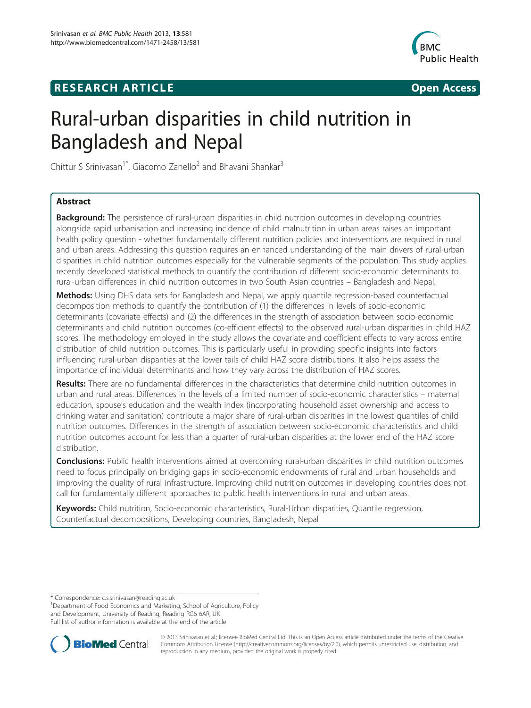# **RESEARCH ARTICLE Example 2008 CONSIDERING CONSIDERING CONSIDERING CONSIDERING CONSIDERING CONSIDERING CONSIDERING CONSIDERING CONSIDERING CONSIDERING CONSIDERING CONSIDERING CONSIDERING CONSIDERING CONSIDERING CONSIDE**



# Rural-urban disparities in child nutrition in Bangladesh and Nepal

Chittur S Srinivasan<sup>1\*</sup>, Giacomo Zanello<sup>2</sup> and Bhavani Shankar<sup>3</sup>

# Abstract

**Background:** The persistence of rural-urban disparities in child nutrition outcomes in developing countries alongside rapid urbanisation and increasing incidence of child malnutrition in urban areas raises an important health policy question - whether fundamentally different nutrition policies and interventions are required in rural and urban areas. Addressing this question requires an enhanced understanding of the main drivers of rural-urban disparities in child nutrition outcomes especially for the vulnerable segments of the population. This study applies recently developed statistical methods to quantify the contribution of different socio-economic determinants to rural-urban differences in child nutrition outcomes in two South Asian countries – Bangladesh and Nepal.

Methods: Using DHS data sets for Bangladesh and Nepal, we apply quantile regression-based counterfactual decomposition methods to quantify the contribution of (1) the differences in levels of socio-economic determinants (covariate effects) and (2) the differences in the strength of association between socio-economic determinants and child nutrition outcomes (co-efficient effects) to the observed rural-urban disparities in child HAZ scores. The methodology employed in the study allows the covariate and coefficient effects to vary across entire distribution of child nutrition outcomes. This is particularly useful in providing specific insights into factors influencing rural-urban disparities at the lower tails of child HAZ score distributions. It also helps assess the importance of individual determinants and how they vary across the distribution of HAZ scores.

Results: There are no fundamental differences in the characteristics that determine child nutrition outcomes in urban and rural areas. Differences in the levels of a limited number of socio-economic characteristics – maternal education, spouse's education and the wealth index (incorporating household asset ownership and access to drinking water and sanitation) contribute a major share of rural-urban disparities in the lowest quantiles of child nutrition outcomes. Differences in the strength of association between socio-economic characteristics and child nutrition outcomes account for less than a quarter of rural-urban disparities at the lower end of the HAZ score distribution.

Conclusions: Public health interventions aimed at overcoming rural-urban disparities in child nutrition outcomes need to focus principally on bridging gaps in socio-economic endowments of rural and urban households and improving the quality of rural infrastructure. Improving child nutrition outcomes in developing countries does not call for fundamentally different approaches to public health interventions in rural and urban areas.

Keywords: Child nutrition, Socio-economic characteristics, Rural-Urban disparities, Quantile regression, Counterfactual decompositions, Developing countries, Bangladesh, Nepal

<sup>&</sup>lt;sup>1</sup>Department of Food Economics and Marketing, School of Agriculture, Policy and Development, University of Reading, Reading RG6 6AR, UK Full list of author information is available at the end of the article



© 2013 Srinivasan et al.; licensee BioMed Central Ltd. This is an Open Access article distributed under the terms of the Creative Commons Attribution License [\(http://creativecommons.org/licenses/by/2.0\)](http://creativecommons.org/licenses/by/2.0), which permits unrestricted use, distribution, and reproduction in any medium, provided the original work is properly cited.

<sup>\*</sup> Correspondence: [c.s.srinivasan@reading.ac.uk](mailto:c.s.srinivasan@reading.ac.uk) <sup>1</sup>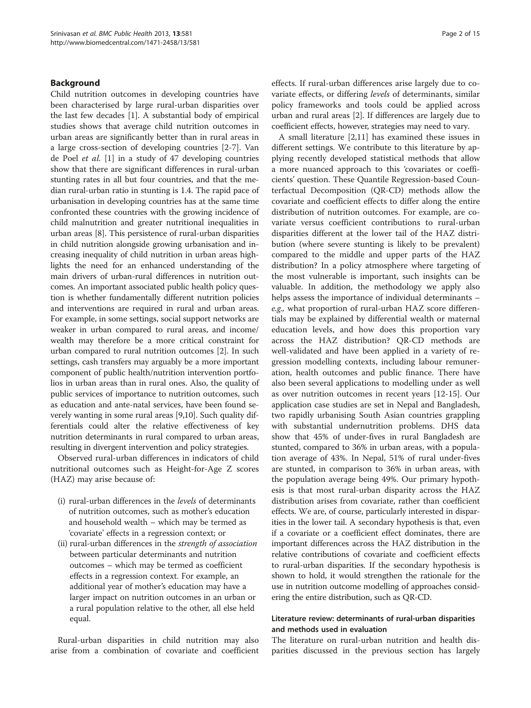#### Background

Child nutrition outcomes in developing countries have been characterised by large rural-urban disparities over the last few decades [[1](#page-13-0)]. A substantial body of empirical studies shows that average child nutrition outcomes in urban areas are significantly better than in rural areas in a large cross-section of developing countries [[2-7](#page-13-0)]. Van de Poel et al. [\[1](#page-13-0)] in a study of 47 developing countries show that there are significant differences in rural-urban stunting rates in all but four countries, and that the median rural-urban ratio in stunting is 1.4. The rapid pace of urbanisation in developing countries has at the same time confronted these countries with the growing incidence of child malnutrition and greater nutritional inequalities in urban areas [\[8](#page-13-0)]. This persistence of rural-urban disparities in child nutrition alongside growing urbanisation and increasing inequality of child nutrition in urban areas highlights the need for an enhanced understanding of the main drivers of urban-rural differences in nutrition outcomes. An important associated public health policy question is whether fundamentally different nutrition policies and interventions are required in rural and urban areas. For example, in some settings, social support networks are weaker in urban compared to rural areas, and income/ wealth may therefore be a more critical constraint for urban compared to rural nutrition outcomes [\[2](#page-13-0)]. In such settings, cash transfers may arguably be a more important component of public health/nutrition intervention portfolios in urban areas than in rural ones. Also, the quality of public services of importance to nutrition outcomes, such as education and ante-natal services, have been found severely wanting in some rural areas [\[9,10\]](#page-13-0). Such quality differentials could alter the relative effectiveness of key nutrition determinants in rural compared to urban areas, resulting in divergent intervention and policy strategies.

Observed rural-urban differences in indicators of child nutritional outcomes such as Height-for-Age Z scores (HAZ) may arise because of:

- (i) rural-urban differences in the levels of determinants of nutrition outcomes, such as mother's education and household wealth – which may be termed as 'covariate' effects in a regression context; or
- (ii) rural-urban differences in the strength of association between particular determinants and nutrition outcomes – which may be termed as coefficient effects in a regression context. For example, an additional year of mother's education may have a larger impact on nutrition outcomes in an urban or a rural population relative to the other, all else held equal.

Rural-urban disparities in child nutrition may also arise from a combination of covariate and coefficient effects. If rural-urban differences arise largely due to covariate effects, or differing levels of determinants, similar policy frameworks and tools could be applied across urban and rural areas [[2\]](#page-13-0). If differences are largely due to coefficient effects, however, strategies may need to vary.

A small literature [\[2,11](#page-13-0)] has examined these issues in different settings. We contribute to this literature by applying recently developed statistical methods that allow a more nuanced approach to this 'covariates or coefficients' question. These Quantile Regression-based Counterfactual Decomposition (QR-CD) methods allow the covariate and coefficient effects to differ along the entire distribution of nutrition outcomes. For example, are covariate versus coefficient contributions to rural-urban disparities different at the lower tail of the HAZ distribution (where severe stunting is likely to be prevalent) compared to the middle and upper parts of the HAZ distribution? In a policy atmosphere where targeting of the most vulnerable is important, such insights can be valuable. In addition, the methodology we apply also helps assess the importance of individual determinants – e.g., what proportion of rural-urban HAZ score differentials may be explained by differential wealth or maternal education levels, and how does this proportion vary across the HAZ distribution? QR-CD methods are well-validated and have been applied in a variety of regression modelling contexts, including labour remuneration, health outcomes and public finance. There have also been several applications to modelling under as well as over nutrition outcomes in recent years [[12-](#page-13-0)[15\]](#page-14-0). Our application case studies are set in Nepal and Bangladesh, two rapidly urbanising South Asian countries grappling with substantial undernutrition problems. DHS data show that 45% of under-fives in rural Bangladesh are stunted, compared to 36% in urban areas, with a population average of 43%. In Nepal, 51% of rural under-fives are stunted, in comparison to 36% in urban areas, with the population average being 49%. Our primary hypothesis is that most rural-urban disparity across the HAZ distribution arises from covariate, rather than coefficient effects. We are, of course, particularly interested in disparities in the lower tail. A secondary hypothesis is that, even if a covariate or a coefficient effect dominates, there are important differences across the HAZ distribution in the relative contributions of covariate and coefficient effects to rural-urban disparities. If the secondary hypothesis is shown to hold, it would strengthen the rationale for the use in nutrition outcome modelling of approaches considering the entire distribution, such as QR-CD.

# Literature review: determinants of rural-urban disparities and methods used in evaluation

The literature on rural-urban nutrition and health disparities discussed in the previous section has largely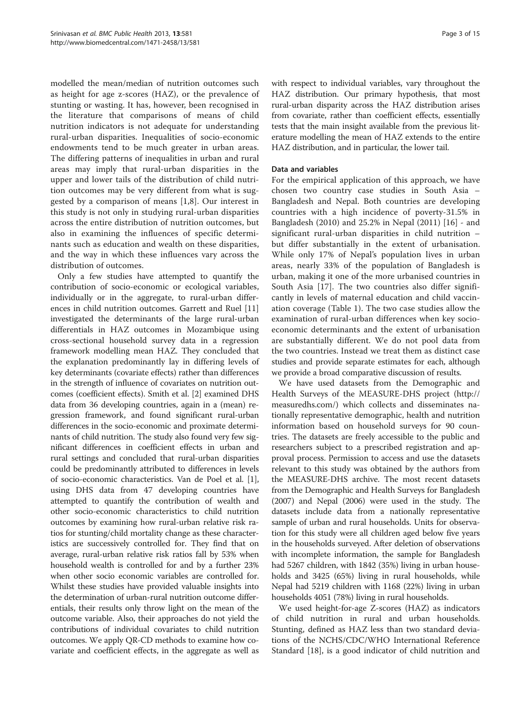modelled the mean/median of nutrition outcomes such as height for age z-scores (HAZ), or the prevalence of stunting or wasting. It has, however, been recognised in the literature that comparisons of means of child nutrition indicators is not adequate for understanding rural-urban disparities. Inequalities of socio-economic endowments tend to be much greater in urban areas. The differing patterns of inequalities in urban and rural areas may imply that rural-urban disparities in the upper and lower tails of the distribution of child nutrition outcomes may be very different from what is suggested by a comparison of means [[1,8\]](#page-13-0). Our interest in this study is not only in studying rural-urban disparities across the entire distribution of nutrition outcomes, but also in examining the influences of specific determinants such as education and wealth on these disparities, and the way in which these influences vary across the distribution of outcomes.

Only a few studies have attempted to quantify the contribution of socio-economic or ecological variables, individually or in the aggregate, to rural-urban differences in child nutrition outcomes. Garrett and Ruel [[11](#page-13-0)] investigated the determinants of the large rural-urban differentials in HAZ outcomes in Mozambique using cross-sectional household survey data in a regression framework modelling mean HAZ. They concluded that the explanation predominantly lay in differing levels of key determinants (covariate effects) rather than differences in the strength of influence of covariates on nutrition outcomes (coefficient effects). Smith et al. [\[2](#page-13-0)] examined DHS data from 36 developing countries, again in a (mean) regression framework, and found significant rural-urban differences in the socio-economic and proximate determinants of child nutrition. The study also found very few significant differences in coefficient effects in urban and rural settings and concluded that rural-urban disparities could be predominantly attributed to differences in levels of socio-economic characteristics. Van de Poel et al. [[1](#page-13-0)], using DHS data from 47 developing countries have attempted to quantify the contribution of wealth and other socio-economic characteristics to child nutrition outcomes by examining how rural-urban relative risk ratios for stunting/child mortality change as these characteristics are successively controlled for. They find that on average, rural-urban relative risk ratios fall by 53% when household wealth is controlled for and by a further 23% when other socio economic variables are controlled for. Whilst these studies have provided valuable insights into the determination of urban-rural nutrition outcome differentials, their results only throw light on the mean of the outcome variable. Also, their approaches do not yield the contributions of individual covariates to child nutrition outcomes. We apply QR-CD methods to examine how covariate and coefficient effects, in the aggregate as well as

with respect to individual variables, vary throughout the HAZ distribution. Our primary hypothesis, that most rural-urban disparity across the HAZ distribution arises from covariate, rather than coefficient effects, essentially tests that the main insight available from the previous literature modelling the mean of HAZ extends to the entire HAZ distribution, and in particular, the lower tail.

#### Data and variables

For the empirical application of this approach, we have chosen two country case studies in South Asia – Bangladesh and Nepal. Both countries are developing countries with a high incidence of poverty-31.5% in Bangladesh (2010) and 25.2% in Nepal (2011) [[16\]](#page-14-0) - and significant rural-urban disparities in child nutrition – but differ substantially in the extent of urbanisation. While only 17% of Nepal's population lives in urban areas, nearly 33% of the population of Bangladesh is urban, making it one of the more urbanised countries in South Asia [\[17](#page-14-0)]. The two countries also differ significantly in levels of maternal education and child vaccination coverage (Table [1\)](#page-3-0). The two case studies allow the examination of rural-urban differences when key socioeconomic determinants and the extent of urbanisation are substantially different. We do not pool data from the two countries. Instead we treat them as distinct case studies and provide separate estimates for each, although we provide a broad comparative discussion of results.

We have used datasets from the Demographic and Health Surveys of the MEASURE-DHS project [\(http://](http://measuredhs.com/) [measuredhs.com/\)](http://measuredhs.com/) which collects and disseminates nationally representative demographic, health and nutrition information based on household surveys for 90 countries. The datasets are freely accessible to the public and researchers subject to a prescribed registration and approval process. Permission to access and use the datasets relevant to this study was obtained by the authors from the MEASURE-DHS archive. The most recent datasets from the Demographic and Health Surveys for Bangladesh (2007) and Nepal (2006) were used in the study. The datasets include data from a nationally representative sample of urban and rural households. Units for observation for this study were all children aged below five years in the households surveyed. After deletion of observations with incomplete information, the sample for Bangladesh had 5267 children, with 1842 (35%) living in urban households and 3425 (65%) living in rural households, while Nepal had 5219 children with 1168 (22%) living in urban households 4051 (78%) living in rural households.

We used height-for-age Z-scores (HAZ) as indicators of child nutrition in rural and urban households. Stunting, defined as HAZ less than two standard deviations of the NCHS/CDC/WHO International Reference Standard [[18\]](#page-14-0), is a good indicator of child nutrition and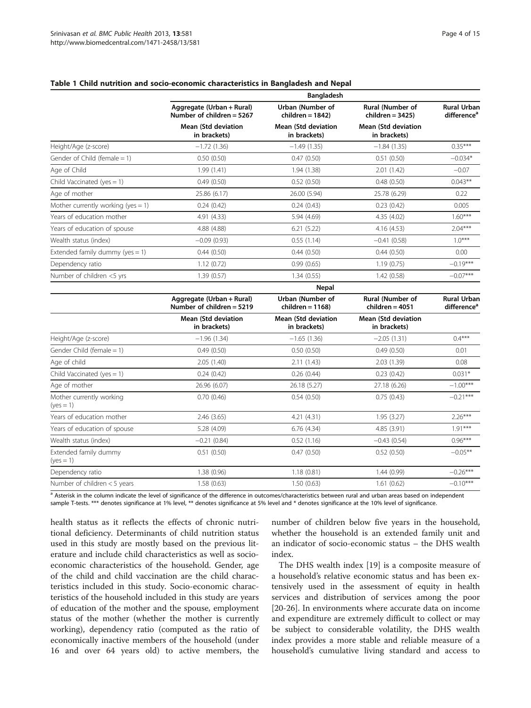#### <span id="page-3-0"></span>Table 1 Child nutrition and socio-economic characteristics in Bangladesh and Nepal

|                                         |                                                          | <b>Bangladesh</b>                           |                                              |                                               |
|-----------------------------------------|----------------------------------------------------------|---------------------------------------------|----------------------------------------------|-----------------------------------------------|
|                                         | Aggregate (Urban + Rural)<br>Number of children $= 5267$ | Urban (Number of<br>$children = 1842$       | Rural (Number of<br>$children = 3425$        | <b>Rural Urban</b><br>difference <sup>a</sup> |
|                                         | <b>Mean (Std deviation</b><br>in brackets)               | <b>Mean (Std deviation</b><br>in brackets)  | <b>Mean (Std deviation</b><br>in brackets)   |                                               |
| Height/Age (z-score)                    | $-1.72(1.36)$                                            | $-1.49(1.35)$                               | $-1.84(1.35)$                                | $0.35***$                                     |
| Gender of Child (female = $1$ )         | 0.50(0.50)                                               | 0.47(0.50)                                  | 0.51(0.50)                                   | $-0.034*$                                     |
| Age of Child                            | 1.99(1.41)                                               | 1.94(1.38)                                  | 2.01(1.42)                                   | $-0.07$                                       |
| Child Vaccinated (yes $= 1$ )           | 0.49(0.50)                                               | 0.52(0.50)                                  | 0.48(0.50)                                   | $0.043**$                                     |
| Age of mother                           | 25.86 (6.17)                                             | 26.00 (5.94)                                | 25.78 (6.29)                                 | 0.22                                          |
| Mother currently working (yes = $1$ )   | 0.24(0.42)                                               | 0.24(0.43)                                  | 0.23(0.42)                                   | 0.005                                         |
| Years of education mother               | 4.91 (4.33)                                              | 5.94 (4.69)                                 | 4.35 (4.02)                                  | $1.60***$                                     |
| Years of education of spouse            | 4.88 (4.88)                                              | 6.21(5.22)                                  | 4.16 (4.53)                                  | $2.04***$                                     |
| Wealth status (index)                   | $-0.09(0.93)$                                            | 0.55(1.14)                                  | $-0.41(0.58)$                                | $1.0***$                                      |
| Extended family dummy (yes $= 1$ )      | 0.44(0.50)                                               | 0.44(0.50)                                  | 0.44(0.50)                                   | 0.00                                          |
| Dependency ratio                        | 1.12(0.72)                                               | 0.99(0.65)                                  | 1.19(0.75)                                   | $-0.19***$                                    |
| Number of children <5 yrs               | 1.39(0.57)                                               | 1.34(0.55)                                  | 1.42(0.58)                                   | $-0.07***$                                    |
|                                         |                                                          | Nepal                                       |                                              |                                               |
|                                         | Aggregate (Urban + Rural)<br>Number of children $= 5219$ | <b>Urban (Number of</b><br>children = 1168) | <b>Rural (Number of</b><br>$children = 4051$ | <b>Rural Urban</b><br>difference <sup>a</sup> |
|                                         | <b>Mean (Std deviation)</b><br>in brackets)              | <b>Mean (Std deviation</b><br>in brackets)  | <b>Mean (Std deviation</b><br>in brackets)   |                                               |
| Height/Age (z-score)                    | $-1.96(1.34)$                                            | $-1.65(1.36)$                               | $-2.05(1.31)$                                | $0.4***$                                      |
| Gender Child (female = 1)               | 0.49(0.50)                                               | 0.50(0.50)                                  | 0.49(0.50)                                   | 0.01                                          |
| Age of child                            | 2.05(1.40)                                               | 2.11 (1.43)                                 | 2.03(1.39)                                   | 0.08                                          |
| Child Vaccinated (yes $= 1$ )           | 0.24(0.42)                                               | 0.26(0.44)                                  | 0.23(0.42)                                   | $0.031*$                                      |
| Age of mother                           | 26.96 (6.07)                                             | 26.18 (5.27)                                | 27.18 (6.26)                                 | $-1.00***$                                    |
| Mother currently working<br>$(yes = 1)$ | 0.70(0.46)                                               | 0.54(0.50)                                  | 0.75(0.43)                                   | $-0.21***$                                    |
| Years of education mother               | 2.46(3.65)                                               | 4.21 (4.31)                                 | 1.95(3.27)                                   | $2.26***$                                     |
| Years of education of spouse            | 5.28 (4.09)                                              | 6.76(4.34)                                  | 4.85 (3.91)                                  | $1.91***$                                     |
| Wealth status (index)                   | $-0.21(0.84)$                                            | 0.52(1.16)                                  | $-0.43(0.54)$                                | $0.96***$                                     |
| Extended family dummy<br>$(yes = 1)$    | 0.51(0.50)                                               | 0.47(0.50)                                  | 0.52(0.50)                                   | $-0.05***$                                    |
| Dependency ratio                        | 1.38 (0.96)                                              | 1.18(0.81)                                  | 1.44(0.99)                                   | $-0.26***$                                    |
| Number of children < 5 years            | 1.58(0.63)                                               | 1.50(0.63)                                  | 1.61(0.62)                                   | $-0.10***$                                    |
|                                         |                                                          |                                             |                                              |                                               |

<sup>a</sup> Asterisk in the column indicate the level of significance of the difference in outcomes/characteristics between rural and urban areas based on independent sample T-tests. \*\*\* denotes significance at 1% level, \*\* denotes significance at 5% level and \* denotes significance at the 10% level of significance.

health status as it reflects the effects of chronic nutritional deficiency. Determinants of child nutrition status used in this study are mostly based on the previous literature and include child characteristics as well as socioeconomic characteristics of the household. Gender, age of the child and child vaccination are the child characteristics included in this study. Socio-economic characteristics of the household included in this study are years of education of the mother and the spouse, employment status of the mother (whether the mother is currently working), dependency ratio (computed as the ratio of economically inactive members of the household (under 16 and over 64 years old) to active members, the

number of children below five years in the household, whether the household is an extended family unit and an indicator of socio-economic status – the DHS wealth index.

The DHS wealth index [\[19\]](#page-14-0) is a composite measure of a household's relative economic status and has been extensively used in the assessment of equity in health services and distribution of services among the poor [[20-26](#page-14-0)]. In environments where accurate data on income and expenditure are extremely difficult to collect or may be subject to considerable volatility, the DHS wealth index provides a more stable and reliable measure of a household's cumulative living standard and access to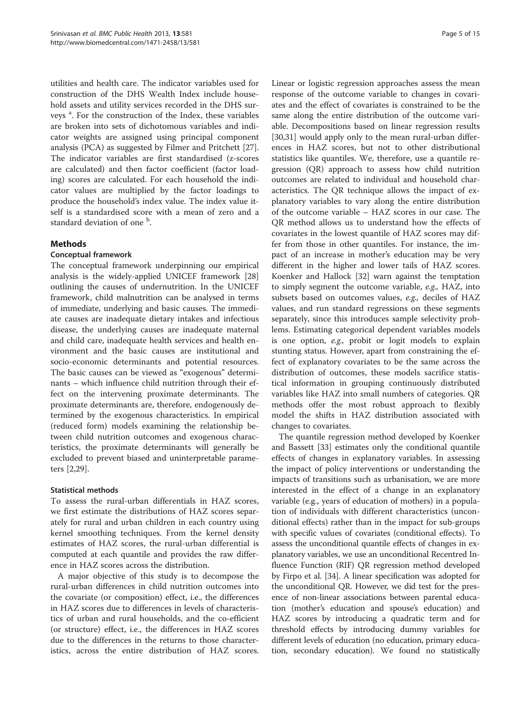utilities and health care. The indicator variables used for construction of the DHS Wealth Index include household assets and utility services recorded in the DHS surveys<sup>a</sup>. For the construction of the Index, these variables are broken into sets of dichotomous variables and indicator weights are assigned using principal component analysis (PCA) as suggested by Filmer and Pritchett [\[27](#page-14-0)]. The indicator variables are first standardised (z-scores are calculated) and then factor coefficient (factor loading) scores are calculated. For each household the indicator values are multiplied by the factor loadings to produce the household's index value. The index value itself is a standardised score with a mean of zero and a standard deviation of one <sup>b</sup>.

# **Methods**

# Conceptual framework

The conceptual framework underpinning our empirical analysis is the widely-applied UNICEF framework [[28](#page-14-0)] outlining the causes of undernutrition. In the UNICEF framework, child malnutrition can be analysed in terms of immediate, underlying and basic causes. The immediate causes are inadequate dietary intakes and infectious disease, the underlying causes are inadequate maternal and child care, inadequate health services and health environment and the basic causes are institutional and socio-economic determinants and potential resources. The basic causes can be viewed as "exogenous" determinants – which influence child nutrition through their effect on the intervening proximate determinants. The proximate determinants are, therefore, endogenously determined by the exogenous characteristics. In empirical (reduced form) models examining the relationship between child nutrition outcomes and exogenous characteristics, the proximate determinants will generally be excluded to prevent biased and uninterpretable parameters [[2,](#page-13-0)[29\]](#page-14-0).

#### Statistical methods

To assess the rural-urban differentials in HAZ scores, we first estimate the distributions of HAZ scores separately for rural and urban children in each country using kernel smoothing techniques. From the kernel density estimates of HAZ scores, the rural-urban differential is computed at each quantile and provides the raw difference in HAZ scores across the distribution.

A major objective of this study is to decompose the rural-urban differences in child nutrition outcomes into the covariate (or composition) effect, i.e., the differences in HAZ scores due to differences in levels of characteristics of urban and rural households, and the co-efficient (or structure) effect, i.e., the differences in HAZ scores due to the differences in the returns to those characteristics, across the entire distribution of HAZ scores.

Linear or logistic regression approaches assess the mean response of the outcome variable to changes in covariates and the effect of covariates is constrained to be the same along the entire distribution of the outcome variable. Decompositions based on linear regression results [[30,31\]](#page-14-0) would apply only to the mean rural-urban differences in HAZ scores, but not to other distributional statistics like quantiles. We, therefore, use a quantile regression (QR) approach to assess how child nutrition outcomes are related to individual and household characteristics. The QR technique allows the impact of explanatory variables to vary along the entire distribution of the outcome variable – HAZ scores in our case. The QR method allows us to understand how the effects of covariates in the lowest quantile of HAZ scores may differ from those in other quantiles. For instance, the impact of an increase in mother's education may be very different in the higher and lower tails of HAZ scores. Koenker and Hallock [[32\]](#page-14-0) warn against the temptation to simply segment the outcome variable, e.g., HAZ, into subsets based on outcomes values, e.g., deciles of HAZ values, and run standard regressions on these segments separately, since this introduces sample selectivity problems. Estimating categorical dependent variables models is one option, e.g., probit or logit models to explain stunting status. However, apart from constraining the effect of explanatory covariates to be the same across the distribution of outcomes, these models sacrifice statistical information in grouping continuously distributed variables like HAZ into small numbers of categories. QR methods offer the most robust approach to flexibly model the shifts in HAZ distribution associated with changes to covariates.

The quantile regression method developed by Koenker and Bassett [\[33](#page-14-0)] estimates only the conditional quantile effects of changes in explanatory variables. In assessing the impact of policy interventions or understanding the impacts of transitions such as urbanisation, we are more interested in the effect of a change in an explanatory variable (e.g., years of education of mothers) in a population of individuals with different characteristics (unconditional effects) rather than in the impact for sub-groups with specific values of covariates (conditional effects). To assess the unconditional quantile effects of changes in explanatory variables, we use an unconditional Recentred Influence Function (RIF) QR regression method developed by Firpo et al. [\[34\]](#page-14-0). A linear specification was adopted for the unconditional QR. However, we did test for the presence of non-linear associations between parental education (mother's education and spouse's education) and HAZ scores by introducing a quadratic term and for threshold effects by introducing dummy variables for different levels of education (no education, primary education, secondary education). We found no statistically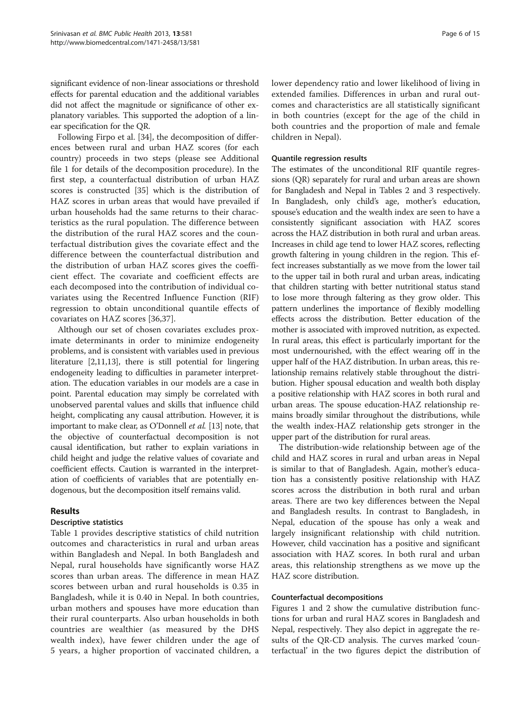significant evidence of non-linear associations or threshold effects for parental education and the additional variables did not affect the magnitude or significance of other explanatory variables. This supported the adoption of a linear specification for the QR.

Following Firpo et al. [[34\]](#page-14-0), the decomposition of differences between rural and urban HAZ scores (for each country) proceeds in two steps (please see Additional file [1](#page-13-0) for details of the decomposition procedure). In the first step, a counterfactual distribution of urban HAZ scores is constructed [[35\]](#page-14-0) which is the distribution of HAZ scores in urban areas that would have prevailed if urban households had the same returns to their characteristics as the rural population. The difference between the distribution of the rural HAZ scores and the counterfactual distribution gives the covariate effect and the difference between the counterfactual distribution and the distribution of urban HAZ scores gives the coefficient effect. The covariate and coefficient effects are each decomposed into the contribution of individual covariates using the Recentred Influence Function (RIF) regression to obtain unconditional quantile effects of covariates on HAZ scores [\[36](#page-14-0),[37\]](#page-14-0).

Although our set of chosen covariates excludes proximate determinants in order to minimize endogeneity problems, and is consistent with variables used in previous literature [[2](#page-13-0),[11,13\]](#page-13-0), there is still potential for lingering endogeneity leading to difficulties in parameter interpretation. The education variables in our models are a case in point. Parental education may simply be correlated with unobserved parental values and skills that influence child height, complicating any causal attribution. However, it is important to make clear, as O'Donnell et al. [\[13\]](#page-13-0) note, that the objective of counterfactual decomposition is not causal identification, but rather to explain variations in child height and judge the relative values of covariate and coefficient effects. Caution is warranted in the interpretation of coefficients of variables that are potentially endogenous, but the decomposition itself remains valid.

# Results

# Descriptive statistics

Table [1](#page-3-0) provides descriptive statistics of child nutrition outcomes and characteristics in rural and urban areas within Bangladesh and Nepal. In both Bangladesh and Nepal, rural households have significantly worse HAZ scores than urban areas. The difference in mean HAZ scores between urban and rural households is 0.35 in Bangladesh, while it is 0.40 in Nepal. In both countries, urban mothers and spouses have more education than their rural counterparts. Also urban households in both countries are wealthier (as measured by the DHS wealth index), have fewer children under the age of 5 years, a higher proportion of vaccinated children, a lower dependency ratio and lower likelihood of living in extended families. Differences in urban and rural outcomes and characteristics are all statistically significant in both countries (except for the age of the child in both countries and the proportion of male and female children in Nepal).

#### Quantile regression results

The estimates of the unconditional RIF quantile regressions (QR) separately for rural and urban areas are shown for Bangladesh and Nepal in Tables [2](#page-6-0) and [3](#page-7-0) respectively. In Bangladesh, only child's age, mother's education, spouse's education and the wealth index are seen to have a consistently significant association with HAZ scores across the HAZ distribution in both rural and urban areas. Increases in child age tend to lower HAZ scores, reflecting growth faltering in young children in the region. This effect increases substantially as we move from the lower tail to the upper tail in both rural and urban areas, indicating that children starting with better nutritional status stand to lose more through faltering as they grow older. This pattern underlines the importance of flexibly modelling effects across the distribution. Better education of the mother is associated with improved nutrition, as expected. In rural areas, this effect is particularly important for the most undernourished, with the effect wearing off in the upper half of the HAZ distribution. In urban areas, this relationship remains relatively stable throughout the distribution. Higher spousal education and wealth both display a positive relationship with HAZ scores in both rural and urban areas. The spouse education-HAZ relationship remains broadly similar throughout the distributions, while the wealth index-HAZ relationship gets stronger in the upper part of the distribution for rural areas.

The distribution-wide relationship between age of the child and HAZ scores in rural and urban areas in Nepal is similar to that of Bangladesh. Again, mother's education has a consistently positive relationship with HAZ scores across the distribution in both rural and urban areas. There are two key differences between the Nepal and Bangladesh results. In contrast to Bangladesh, in Nepal, education of the spouse has only a weak and largely insignificant relationship with child nutrition. However, child vaccination has a positive and significant association with HAZ scores. In both rural and urban areas, this relationship strengthens as we move up the HAZ score distribution.

#### Counterfactual decompositions

Figures [1](#page-8-0) and [2](#page-8-0) show the cumulative distribution functions for urban and rural HAZ scores in Bangladesh and Nepal, respectively. They also depict in aggregate the results of the QR-CD analysis. The curves marked 'counterfactual' in the two figures depict the distribution of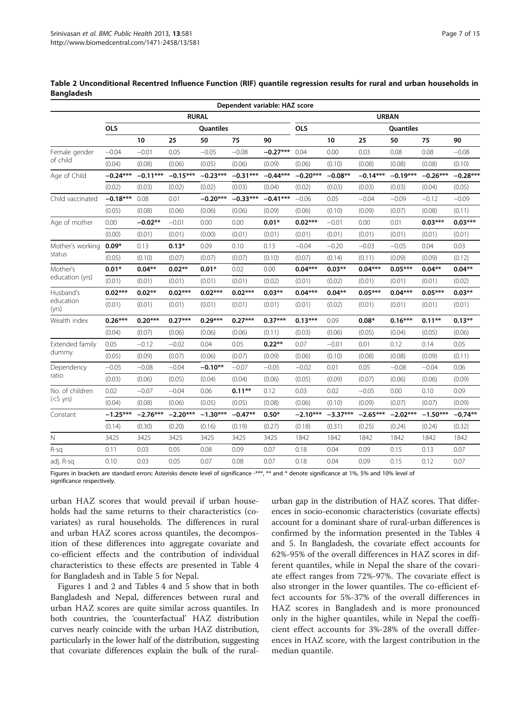|                             |            |            |            |              |            | Dependent variable: HAZ score |              |            |            |            |            |            |
|-----------------------------|------------|------------|------------|--------------|------------|-------------------------------|--------------|------------|------------|------------|------------|------------|
|                             |            |            |            | <b>RURAL</b> |            |                               | <b>URBAN</b> |            |            |            |            |            |
|                             | <b>OLS</b> |            |            | Quantiles    |            |                               | <b>OLS</b>   |            |            | Quantiles  |            |            |
|                             |            | 10         | 25         | 50           | 75         | 90                            |              | 10         | 25         | 50         | 75         | 90         |
| Female gender               | $-0.04$    | $-0.01$    | 0.05       | $-0.05$      | $-0.08$    | $-0.27***$                    | 0.04         | 0.00       | 0.03       | 0.08       | 0.08       | $-0.08$    |
| of child                    | (0.04)     | (0.08)     | (0.06)     | (0.05)       | (0.06)     | (0.09)                        | (0.06)       | (0.10)     | (0.08)     | (0.08)     | (0.08)     | (0.10)     |
| Age of Child                | $-0.24***$ | $-0.11***$ | $-0.15***$ | $-0.23***$   | $-0.31***$ | $-0.44***$                    | $-0.20***$   | $-0.08**$  | $-0.14***$ | $-0.19***$ | $-0.26***$ | $-0.28***$ |
|                             | (0.02)     | (0.03)     | (0.02)     | (0.02)       | (0.03)     | (0.04)                        | (0.02)       | (0.03)     | (0.03)     | (0.03)     | (0.04)     | (0.05)     |
| Child vaccinated            | $-0.18***$ | 0.08       | 0.01       | $-0.20***$   | $-0.33***$ | $-0.41***$                    | $-0.06$      | 0.05       | $-0.04$    | $-0.09$    | $-0.12$    | $-0.09$    |
|                             | (0.05)     | (0.08)     | (0.06)     | (0.06)       | (0.06)     | (0.09)                        | (0.06)       | (0.10)     | (0.09)     | (0.07)     | (0.08)     | (0.11)     |
| Age of mother               | 0.00       | $-0.02**$  | $-0.01$    | 0.00         | 0.00       | $0.01*$                       | $0.02***$    | $-0.01$    | 0.00       | 0.01       | $0.03***$  | $0.03***$  |
|                             | (0.00)     | (0.01)     | (0.01)     | (0.00)       | (0.01)     | (0.01)                        | (0.01)       | (0.01)     | (0.01)     | (0.01)     | (0.01)     | (0.01)     |
| Mother's working            | $0.09*$    | 0.13       | $0.13*$    | 0.09         | 0.10       | 0.13                          | $-0.04$      | $-0.20$    | $-0.03$    | $-0.05$    | 0.04       | 0.03       |
| status                      | (0.05)     | (0.10)     | (0.07)     | (0.07)       | (0.07)     | (0.10)                        | (0.07)       | (0.14)     | (0.11)     | (0.09)     | (0.09)     | (0.12)     |
| Mother's<br>education (yrs) | $0.01*$    | $0.04**$   | $0.02**$   | $0.01*$      | 0.02       | 0.00                          | $0.04***$    | $0.03***$  | $0.04***$  | $0.05***$  | $0.04**$   | $0.04**$   |
|                             | (0.01)     | (0.01)     | (0.01)     | (0.01)       | (0.01)     | (0.02)                        | (0.01)       | (0.02)     | (0.01)     | (0.01)     | (0.01)     | (0.02)     |
| Husband's                   | $0.02***$  | $0.02**$   | $0.02***$  | $0.02***$    | $0.02***$  | $0.03**$                      | $0.04***$    | $0.04***$  | $0.05***$  | $0.04***$  | $0.05***$  | $0.03**$   |
| education<br>(yrs)          | (0.01)     | (0.01)     | (0.01)     | (0.01)       | (0.01)     | (0.01)                        | (0.01)       | (0.02)     | (0.01)     | (0.01)     | (0.01)     | (0.01)     |
| Wealth index                | $0.26***$  | $0.20***$  | $0.27***$  | $0.29***$    | $0.27***$  | $0.37***$                     | $0.13***$    | 0.09       | $0.08*$    | $0.16***$  | $0.11***$  | $0.13***$  |
|                             | (0.04)     | (0.07)     | (0.06)     | (0.06)       | (0.06)     | (0.11)                        | (0.03)       | (0.06)     | (0.05)     | (0.04)     | (0.05)     | (0.06)     |
| Extended family             | 0.05       | $-0.12$    | $-0.02$    | 0.04         | 0.05       | $0.22**$                      | 0.07         | $-0.01$    | 0.01       | 0.12       | 0.14       | 0.05       |
| dummy                       | (0.05)     | (0.09)     | (0.07)     | (0.06)       | (0.07)     | (0.09)                        | (0.06)       | (0.10)     | (0.08)     | (0.08)     | (0.09)     | (0.11)     |
| Dependency                  | $-0.05$    | $-0.08$    | $-0.04$    | $-0.10**$    | $-0.07$    | $-0.05$                       | $-0.02$      | 0.01       | 0.05       | $-0.08$    | $-0.04$    | 0.06       |
| ratio                       | (0.03)     | (0.06)     | (0.05)     | (0.04)       | (0.04)     | (0.06)                        | (0.05)       | (0.09)     | (0.07)     | (0.06)     | (0.06)     | (0.09)     |
| No. of children             | 0.02       | $-0.07$    | $-0.04$    | 0.06         | $0.11***$  | 0.12                          | 0.03         | 0.02       | $-0.05$    | 0.00       | 0.10       | 0.09       |
| $(<5$ yrs)                  | (0.04)     | (0.08)     | (0.06)     | (0.05)       | (0.05)     | (0.08)                        | (0.06)       | (0.10)     | (0.09)     | (0.07)     | (0.07)     | (0.09)     |
| Constant                    | $-1.25***$ | $-2.76***$ | $-2.20***$ | $-1.30***$   | $-0.47**$  | $0.50*$                       | $-2.10***$   | $-3.37***$ | $-2.65***$ | $-2.02***$ | $-1.50***$ | $-0.74**$  |
|                             | (0.14)     | (0.30)     | (0.20)     | (0.16)       | (0.19)     | (0.27)                        | (0.18)       | (0.31)     | (0.25)     | (0.24)     | (0.24)     | (0.32)     |
| N                           | 3425       | 3425       | 3425       | 3425         | 3425       | 3425                          | 1842         | 1842       | 1842       | 1842       | 1842       | 1842       |
| R-sa                        | 0.11       | 0.03       | 0.05       | 0.08         | 0.09       | 0.07                          | 0.18         | 0.04       | 0.09       | 0.15       | 0.13       | 0.07       |
| adj. R-sq                   | 0.10       | 0.03       | 0.05       | 0.07         | 0.08       | 0.07                          | 0.18         | 0.04       | 0.09       | 0.15       | 0.12       | 0.07       |

<span id="page-6-0"></span>Table 2 Unconditional Recentred Influence Function (RIF) quantile regression results for rural and urban households in **Bangladesh** 

Figures in brackets are standard errors: Asterisks denote level of significance -\*\*\*, \*\* and \* denote significance at 1%, 5% and 10% level of significance respectively.

urban HAZ scores that would prevail if urban households had the same returns to their characteristics (covariates) as rural households. The differences in rural and urban HAZ scores across quantiles, the decomposition of these differences into aggregate covariate and co-efficient effects and the contribution of individual characteristics to these effects are presented in Table [4](#page-9-0) for Bangladesh and in Table [5](#page-10-0) for Nepal.

Figures [1](#page-8-0) and [2](#page-8-0) and Tables [4](#page-9-0) and [5](#page-10-0) show that in both Bangladesh and Nepal, differences between rural and urban HAZ scores are quite similar across quantiles. In both countries, the 'counterfactual' HAZ distribution curves nearly coincide with the urban HAZ distribution, particularly in the lower half of the distribution, suggesting that covariate differences explain the bulk of the ruralurban gap in the distribution of HAZ scores. That differences in socio-economic characteristics (covariate effects) account for a dominant share of rural-urban differences is confirmed by the information presented in the Tables [4](#page-9-0) and [5](#page-10-0). In Bangladesh, the covariate effect accounts for 62%-95% of the overall differences in HAZ scores in different quantiles, while in Nepal the share of the covariate effect ranges from 72%-97%. The covariate effect is also stronger in the lower quantiles. The co-efficient effect accounts for 5%-37% of the overall differences in HAZ scores in Bangladesh and is more pronounced only in the higher quantiles, while in Nepal the coefficient effect accounts for 3%-28% of the overall differences in HAZ score, with the largest contribution in the median quantile.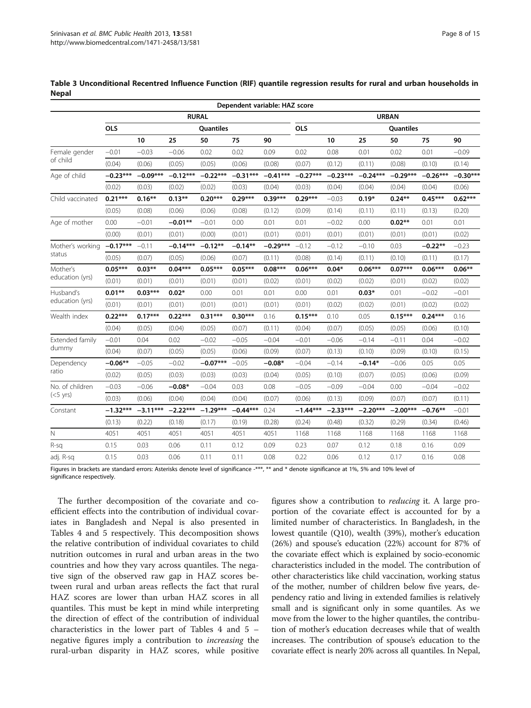|                  |              |            |            |            | Dependent variable: HAZ score |            |                         |              |            |            |            |            |  |
|------------------|--------------|------------|------------|------------|-------------------------------|------------|-------------------------|--------------|------------|------------|------------|------------|--|
|                  | <b>RURAL</b> |            |            |            |                               |            |                         | <b>URBAN</b> |            |            |            |            |  |
|                  | <b>OLS</b>   |            |            | Quantiles  |                               |            | <b>OLS</b><br>Quantiles |              |            |            |            |            |  |
|                  |              | 10         | 25         | 50         | 75                            | 90         |                         | 10           | 25         | 50         | 75         | 90         |  |
| Female gender    | $-0.01$      | $-0.03$    | $-0.06$    | 0.02       | 0.02                          | 0.09       | 0.02                    | 0.08         | 0.01       | 0.02       | 0.01       | $-0.09$    |  |
| of child         | (0.04)       | (0.06)     | (0.05)     | (0.05)     | (0.06)                        | (0.08)     | (0.07)                  | (0.12)       | (0.11)     | (0.08)     | (0.10)     | (0.14)     |  |
| Age of child     | $-0.23***$   | $-0.09***$ | $-0.12***$ | $-0.22***$ | $-0.31***$                    | $-0.41***$ | $-0.27***$              | $-0.23***$   | $-0.24***$ | $-0.29***$ | $-0.26***$ | $-0.30***$ |  |
|                  | (0.02)       | (0.03)     | (0.02)     | (0.02)     | (0.03)                        | (0.04)     | (0.03)                  | (0.04)       | (0.04)     | (0.04)     | (0.04)     | (0.06)     |  |
| Child vaccinated | $0.21***$    | $0.16***$  | $0.13***$  | $0.20***$  | $0.29***$                     | $0.39***$  | $0.29***$               | $-0.03$      | $0.19*$    | $0.24***$  | $0.45***$  | $0.62***$  |  |
|                  | (0.05)       | (0.08)     | (0.06)     | (0.06)     | (0.08)                        | (0.12)     | (0.09)                  | (0.14)       | (0.11)     | (0.11)     | (0.13)     | (0.20)     |  |
| Age of mother    | 0.00         | $-0.01$    | $-0.01**$  | $-0.01$    | 0.00                          | 0.01       | 0.01                    | $-0.02$      | 0.00       | $0.02**$   | 0.01       | 0.01       |  |
|                  | (0.00)       | (0.01)     | (0.01)     | (0.00)     | (0.01)                        | (0.01)     | (0.01)                  | (0.01)       | (0.01)     | (0.01)     | (0.01)     | (0.02)     |  |
| Mother's working | $-0.17***$   | $-0.11$    | $-0.14***$ | $-0.12**$  | $-0.14**$                     | $-0.29***$ | $-0.12$                 | $-0.12$      | $-0.10$    | 0.03       | $-0.22**$  | $-0.23$    |  |
| status           | (0.05)       | (0.07)     | (0.05)     | (0.06)     | (0.07)                        | (0.11)     | (0.08)                  | (0.14)       | (0.11)     | (0.10)     | (0.11)     | (0.17)     |  |
| Mother's         | $0.05***$    | $0.03***$  | $0.04***$  | $0.05***$  | $0.05***$                     | $0.08***$  | $0.06***$               | $0.04*$      | $0.06***$  | $0.07***$  | $0.06***$  | $0.06***$  |  |
| education (yrs)  | (0.01)       | (0.01)     | (0.01)     | (0.01)     | (0.01)                        | (0.02)     | (0.01)                  | (0.02)       | (0.02)     | (0.01)     | (0.02)     | (0.02)     |  |
| Husband's        | $0.01**$     | $0.03***$  | $0.02*$    | 0.00       | 0.01                          | 0.01       | 0.00                    | 0.01         | $0.03*$    | 0.01       | $-0.02$    | $-0.01$    |  |
| education (yrs)  | (0.01)       | (0.01)     | (0.01)     | (0.01)     | (0.01)                        | (0.01)     | (0.01)                  | (0.02)       | (0.02)     | (0.01)     | (0.02)     | (0.02)     |  |
| Wealth index     | $0.22***$    | $0.17***$  | $0.22***$  | $0.31***$  | $0.30***$                     | 0.16       | $0.15***$               | 0.10         | 0.05       | $0.15***$  | $0.24***$  | 0.16       |  |
|                  | (0.04)       | (0.05)     | (0.04)     | (0.05)     | (0.07)                        | (0.11)     | (0.04)                  | (0.07)       | (0.05)     | (0.05)     | (0.06)     | (0.10)     |  |
| Extended family  | $-0.01$      | 0.04       | 0.02       | $-0.02$    | $-0.05$                       | $-0.04$    | $-0.01$                 | $-0.06$      | $-0.14$    | $-0.11$    | 0.04       | $-0.02$    |  |
| dummy            | (0.04)       | (0.07)     | (0.05)     | (0.05)     | (0.06)                        | (0.09)     | (0.07)                  | (0.13)       | (0.10)     | (0.09)     | (0.10)     | (0.15)     |  |
| Dependency       | $-0.06**$    | $-0.05$    | $-0.02$    | $-0.07***$ | $-0.05$                       | $-0.08*$   | $-0.04$                 | $-0.14$      | $-0.14*$   | $-0.06$    | 0.05       | 0.05       |  |
| ratio            | (0.02)       | (0.05)     | (0.03)     | (0.03)     | (0.03)                        | (0.04)     | (0.05)                  | (0.10)       | (0.07)     | (0.05)     | (0.06)     | (0.09)     |  |
| No. of children  | $-0.03$      | $-0.06$    | $-0.08*$   | $-0.04$    | 0.03                          | 0.08       | $-0.05$                 | $-0.09$      | $-0.04$    | 0.00       | $-0.04$    | $-0.02$    |  |
| $(<5$ yrs)       | (0.03)       | (0.06)     | (0.04)     | (0.04)     | (0.04)                        | (0.07)     | (0.06)                  | (0.13)       | (0.09)     | (0.07)     | (0.07)     | (0.11)     |  |
| Constant         | $-1.32***$   | $-3.11***$ | $-2.22***$ | $-1.29***$ | $-0.44***$                    | 0.24       | $-1.44***$              | $-2.33***$   | $-2.20***$ | $-2.00***$ | $-0.76**$  | $-0.01$    |  |
|                  | (0.13)       | (0.22)     | (0.18)     | (0.17)     | (0.19)                        | (0.28)     | (0.24)                  | (0.48)       | (0.32)     | (0.29)     | (0.34)     | (0.46)     |  |
| $\mathbb N$      | 4051         | 4051       | 4051       | 4051       | 4051                          | 4051       | 1168                    | 1168         | 1168       | 1168       | 1168       | 1168       |  |
| R-sa             | 0.15         | 0.03       | 0.06       | 0.11       | 0.12                          | 0.09       | 0.23                    | 0.07         | 0.12       | 0.18       | 0.16       | 0.09       |  |
| adj. R-sq        | 0.15         | 0.03       | 0.06       | 0.11       | 0.11                          | 0.08       | 0.22                    | 0.06         | 0.12       | 0.17       | 0.16       | 0.08       |  |

<span id="page-7-0"></span>Table 3 Unconditional Recentred Influence Function (RIF) quantile regression results for rural and urban households in **Nepal** 

Figures in brackets are standard errors: Asterisks denote level of significance -\*\*\*, \*\* and \* denote significance at 1%, 5% and 10% level of significance respectively.

The further decomposition of the covariate and coefficient effects into the contribution of individual covariates in Bangladesh and Nepal is also presented in Tables [4](#page-9-0) and [5](#page-10-0) respectively. This decomposition shows the relative contribution of individual covariates to child nutrition outcomes in rural and urban areas in the two countries and how they vary across quantiles. The negative sign of the observed raw gap in HAZ scores between rural and urban areas reflects the fact that rural HAZ scores are lower than urban HAZ scores in all quantiles. This must be kept in mind while interpreting the direction of effect of the contribution of individual characteristics in the lower part of Tables [4](#page-9-0) and [5](#page-10-0) – negative figures imply a contribution to increasing the rural-urban disparity in HAZ scores, while positive figures show a contribution to reducing it. A large proportion of the covariate effect is accounted for by a limited number of characteristics. In Bangladesh, in the lowest quantile (Q10), wealth (39%), mother's education (26%) and spouse's education (22%) account for 87% of the covariate effect which is explained by socio-economic characteristics included in the model. The contribution of other characteristics like child vaccination, working status of the mother, number of children below five years, dependency ratio and living in extended families is relatively small and is significant only in some quantiles. As we move from the lower to the higher quantiles, the contribution of mother's education decreases while that of wealth increases. The contribution of spouse's education to the covariate effect is nearly 20% across all quantiles. In Nepal,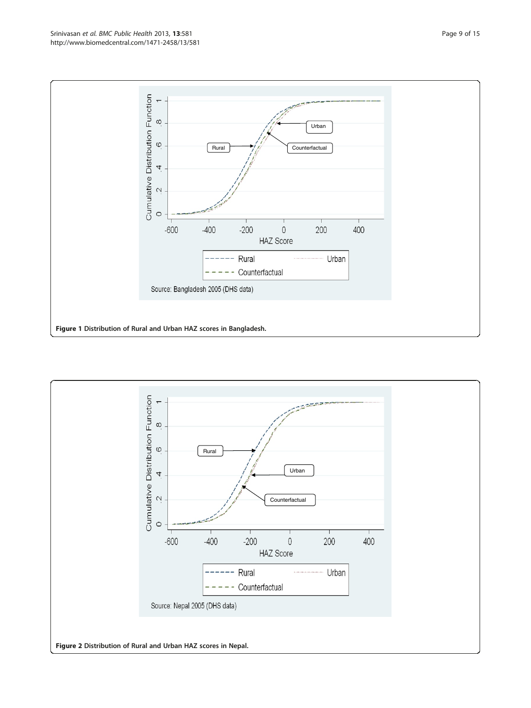<span id="page-8-0"></span>

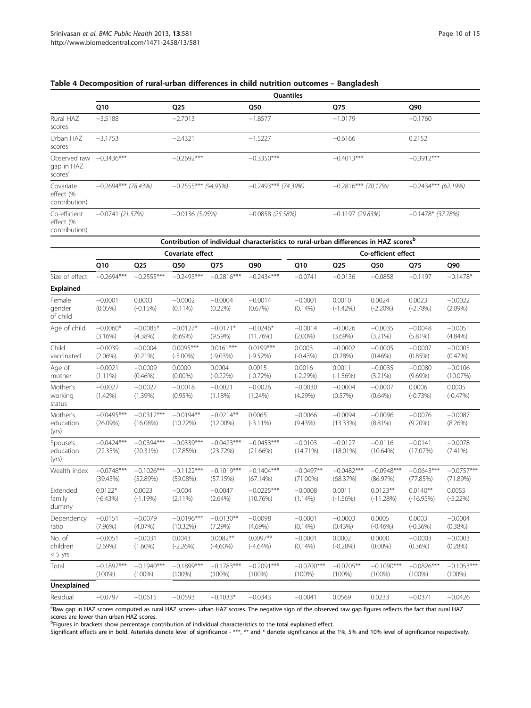|                                                   |                       |                       | Quantiles             |                       |                       |
|---------------------------------------------------|-----------------------|-----------------------|-----------------------|-----------------------|-----------------------|
|                                                   | Q10                   | Q <sub>25</sub>       | Q50                   | Q75                   | Q90                   |
| Rural HAZ<br>scores                               | $-3.5188$             | $-2.7013$             | $-1.8577$             | $-1.0179$             | $-0.1760$             |
| Urban HAZ<br>scores                               | $-3.1753$             | $-2.4321$             | $-1.5227$             | $-0.6166$             | 0.2152                |
| Observed raw<br>gap in HAZ<br>scores <sup>a</sup> | $-0.3436***$          | $-0.2692***$          | $-0.3350***$          | $-0.4013***$          | $-0.3912***$          |
| Covariate<br>effect (%<br>contribution)           | $-0.2694***$ (78.43%) | $-0.2555***$ (94.95%) | $-0.2493***$ (74.39%) | $-0.2816***$ (70.17%) | $-0.2434***$ (62.19%) |
| Co-efficient                                      | $-0.0741(21.57%)$     | $-0.0136(5.05%)$      | $-0.0858(25.58%)$     | $-0.1197(29.83%)$     | $-0.1478*$ (37.78%)   |

# <span id="page-9-0"></span>Table 4 Decomposition of rural-urban differences in child nutrition outcomes – Bangladesh

effect (%

| contribution) |  |
|---------------|--|
|---------------|--|

|                                 |                           |                             |                            |                            | Contribution of individual characteristics to rural-urban differences in HAZ scores <sup>b</sup> |                            |                          |                           |                           |                           |  |  |  |  |  |
|---------------------------------|---------------------------|-----------------------------|----------------------------|----------------------------|--------------------------------------------------------------------------------------------------|----------------------------|--------------------------|---------------------------|---------------------------|---------------------------|--|--|--|--|--|
|                                 |                           |                             | Covariate effect           |                            |                                                                                                  |                            |                          | Co-efficient effect       |                           |                           |  |  |  |  |  |
|                                 | Q10                       | Q <sub>25</sub>             | Q50                        | Q75                        | Q90                                                                                              | Q10                        | Q <sub>25</sub>          | Q50                       | Q75                       | Q90                       |  |  |  |  |  |
| Size of effect                  | $-0.2694***$              | $-0.2555***$                | $-0.2493***$               | $-0.2816***$               | $-0.2434***$                                                                                     | $-0.0741$                  | $-0.0136$                | $-0.0858$                 | $-0.1197$                 | $-0.1478*$                |  |  |  |  |  |
| Explained                       |                           |                             |                            |                            |                                                                                                  |                            |                          |                           |                           |                           |  |  |  |  |  |
| Female<br>gender<br>of child    | $-0.0001$<br>$(0.05\%)$   | 0.0003<br>$(-0.15%)$        | $-0.0002$<br>$(0.11\%)$    | $-0.0004$<br>$(0.22\%)$    | $-0.0014$<br>(0.67%)                                                                             | $-0.0001$<br>$(0.14\%)$    | 0.0010<br>$(-1.42%)$     | 0.0024<br>$(-2.20%)$      | 0.0023<br>$(-2.78%)$      | $-0.0022$<br>$(2.09\%)$   |  |  |  |  |  |
| Age of child                    | $-0.0060*$<br>$(3.16\%)$  | $-0.0085*$<br>$(4.38\%)$    | $-0.0127*$<br>$(6.69\%)$   | $-0.0171*$<br>$(9.59\%)$   | $-0.0246*$<br>(11.76%)                                                                           | $-0.0014$<br>$(2.00\%)$    | $-0.0026$<br>$(3.69\%)$  | $-0.0035$<br>$(3.21\%)$   | $-0.0048$<br>(5.81%)      | $-0.0051$<br>$(4.84\%)$   |  |  |  |  |  |
| Child<br>vaccinated             | $-0.0039$<br>$(2.06\%)$   | $-0.0004$<br>$(0.21\%)$     | $0.0095***$<br>$(-5.00\%)$ | $0.0161***$<br>$(-9.03%)$  | $0.0199***$<br>$(-9.52%)$                                                                        | 0.0003<br>$(-0.43%)$       | $-0.0002$<br>(0.28%)     | $-0.0005$<br>$(0.46\%)$   | $-0.0007$<br>$(0.85\%)$   | $-0.0005$<br>(0.47%)      |  |  |  |  |  |
| Age of<br>mother                | $-0.0021$<br>$(1.11\%)$   | $-0.0009$<br>$(0.46\%)$     | 0.0000<br>$(0.00\%)$       | 0.0004<br>$(-0.22\%)$      | 0.0015<br>$(-0.72%)$                                                                             | 0.0016<br>$(-2.29%)$       | 0.0011<br>$(-1.56%)$     | $-0.0035$<br>$(3.21\%)$   | $-0.0080$<br>$(9.69\%)$   | $-0.0106$<br>(10.07%)     |  |  |  |  |  |
| Mother's<br>working<br>status   | $-0.0027$<br>$(1.42\%)$   | $-0.0027$<br>$(1.39\%)$     | $-0.0018$<br>$(0.95\%)$    | $-0.0021$<br>$(1.18\%)$    | $-0.0026$<br>$(1.24\%)$                                                                          | $-0.0030$<br>$(4.29\%)$    | $-0.0004$<br>(0.57%)     | $-0.0007$<br>(0.64%)      | 0.0006<br>$(-0.73%)$      | 0.0005<br>$(-0.47%)$      |  |  |  |  |  |
| Mother's<br>education<br>(yrs)  | $-0.0495***$<br>(26.09%)  | $-0.0312***$<br>$(16.08\%)$ | $-0.0194**$<br>$(10.22\%)$ | $-0.0214**$<br>$(12.00\%)$ | 0.0065<br>$(-3.11\%)$                                                                            | $-0.0066$<br>(9.43%)       | $-0.0094$<br>$(13.33\%)$ | $-0.0096$<br>$(8.81\%)$   | $-0.0076$<br>$(9.20\%)$   | $-0.0087$<br>(8.26%)      |  |  |  |  |  |
| Spouse's<br>education<br>(yrs)  | $-0.0424***$<br>(22.35%)  | $-0.0394***$<br>(20.31%)    | $-0.0339***$<br>(17.85%)   | $-0.0423***$<br>(23.72%)   | $-0.0453***$<br>(21.66%)                                                                         | $-0.0103$<br>$(14.71\%)$   | $-0.0127$<br>$(18.01\%)$ | $-0.0116$<br>$(10.64\%)$  | $-0.0141$<br>(17.07%)     | $-0.0078$<br>$(7.41\%)$   |  |  |  |  |  |
| Wealth index                    | $-0.0748***$<br>(39.43%)  | $-0.1026***$<br>(52.89%)    | $-0.1122***$<br>(59.08%)   | $-0.1019***$<br>(57.15%)   | $-0.1404***$<br>(67.14%)                                                                         | $-0.0497**$<br>$(71.00\%)$ | $-0.0482***$<br>(68.37%) | $-0.0948***$<br>(86.97%)  | $-0.0643***$<br>(77.85%)  | $-0.0757***$<br>(71.89%)  |  |  |  |  |  |
| Extended<br>family<br>dummy     | $0.0122*$<br>$(-6.43%)$   | 0.0023<br>$(-1.19%)$        | $-0.004$<br>$(2.11\%)$     | $-0.0047$<br>$(2.64\%)$    | $-0.0225***$<br>(10.76%)                                                                         | $-0.0008$<br>$(1.14\%)$    | 0.0011<br>$(-1.56%)$     | $0.0123**$<br>$(-11.28%)$ | $0.0140**$<br>$(-16.95%)$ | 0.0055<br>$(-5.22%)$      |  |  |  |  |  |
| Dependency<br>ratio             | $-0.0151$<br>(7.96%)      | $-0.0079$<br>$(4.07\%)$     | $-0.0196***$<br>(10.32%)   | $-0.0130**$<br>(7.29%)     | $-0.0098$<br>$(4.69\%)$                                                                          | $-0.0001$<br>$(0.14\%)$    | $-0.0003$<br>(0.43%)     | 0.0005<br>$(-0.46%)$      | 0.0003<br>$(-0.36%)$      | $-0.0004$<br>$(0.38\%)$   |  |  |  |  |  |
| No. of<br>children<br>$< 5$ yrs | $-0.0051$<br>(2.69%)      | $-0.0031$<br>$(1.60\%)$     | 0.0043<br>$(-2.26%)$       | $0.0082**$<br>$(-4.60\%)$  | $0.0097**$<br>$(-4.64%)$                                                                         | $-0.0001$<br>$(0.14\%)$    | 0.0002<br>$(-0.28%)$     | 0.0000<br>$(0.00\%)$      | $-0.0003$<br>$(0.36\%)$   | $-0.0003$<br>(0.28%)      |  |  |  |  |  |
| Total                           | $-0.1897***$<br>$(100\%)$ | $-0.1940***$<br>$(100\%)$   | $-0.1899***$<br>$(100\%)$  | $-0.1783***$<br>$(100\%)$  | $-0.2091***$<br>$(100\%)$                                                                        | $-0.0700***$<br>$(100\%)$  | $-0.0705**$<br>$(100\%)$ | $-0.1090***$<br>$(100\%)$ | $-0.0826***$<br>$(100\%)$ | $-0.1053***$<br>$(100\%)$ |  |  |  |  |  |
| Unexplained                     |                           |                             |                            |                            |                                                                                                  |                            |                          |                           |                           |                           |  |  |  |  |  |
| Residual                        | $-0.0797$                 | $-0.0615$                   | $-0.0593$                  | $-0.1033*$                 | $-0.0343$                                                                                        | $-0.0041$                  | 0.0569                   | 0.0233                    | $-0.0371$                 | $-0.0426$                 |  |  |  |  |  |

aRaw gap in HAZ scores computed as rural HAZ scores- urban HAZ scores. The negative sign of the observed raw gap figures reflects the fact that rural HAZ scores are lower than urban HAZ scores.<br><sup>b</sup>Figures in brackets show percentage contribution of individual characteristics to the total explained effect.

Significant effects are in bold. Asterisks denote level of significance - \*\*\*, \*\* and \* denote significance at the 1%, 5% and 10% level of significance respectively.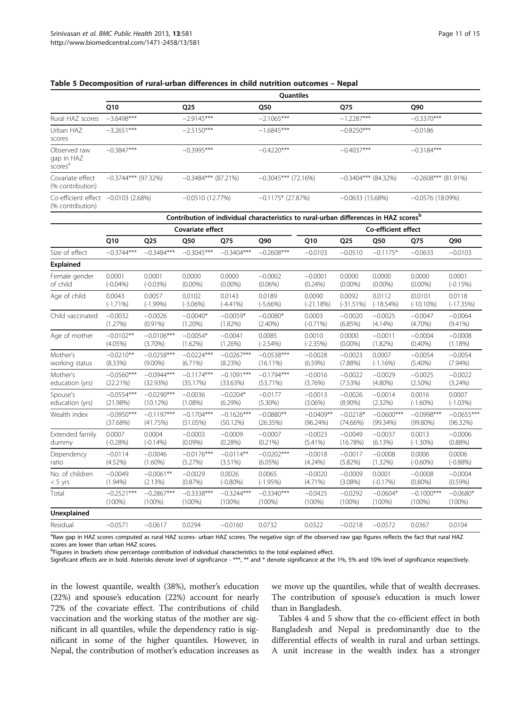<span id="page-10-0"></span>

|  |  | Table 5 Decomposition of rural-urban differences in child nutrition outcomes - Nepal |  |  |  |  |  |  |  |  |  |
|--|--|--------------------------------------------------------------------------------------|--|--|--|--|--|--|--|--|--|
|--|--|--------------------------------------------------------------------------------------|--|--|--|--|--|--|--|--|--|

|                                                         |                       | Quantiles             |                       |                       |                       |  |  |  |  |  |  |
|---------------------------------------------------------|-----------------------|-----------------------|-----------------------|-----------------------|-----------------------|--|--|--|--|--|--|
|                                                         | Q10                   | Q <sub>25</sub>       | Q50                   | Q75                   | Q90                   |  |  |  |  |  |  |
| Rural HAZ scores                                        | $-3.6498***$          | $-2.9145***$          | $-2.1065***$          | $-1.2287***$          | $-0.3370***$          |  |  |  |  |  |  |
| Urban HAZ<br>scores                                     | $-3.2651***$          | $-2.5150***$          | $-1.6845***$          | $-0.8250***$          | $-0.0186$             |  |  |  |  |  |  |
| Observed raw<br>gap in HAZ<br>scores <sup>a</sup>       | $-0.3847***$          | $-0.3995***$          | $-0.4220***$          | $-0.4037***$          | $-0.3184***$          |  |  |  |  |  |  |
| Covariate effect<br>(% contribution)                    | $-0.3744***$ (97.32%) | $-0.3484***$ (87.21%) | $-0.3045***$ (72.16%) | $-0.3404***$ (84.32%) | $-0.2608***$ (81.91%) |  |  |  |  |  |  |
| Co-efficient effect -0.0103 (2.68%)<br>(% contribution) |                       | $-0.0510(12.77%)$     | $-0.1175*$ (27.87%)   | $-0.0633(15.68%)$     | $-0.0576(18.09%)$     |  |  |  |  |  |  |

| Contribution of individual characteristics to rural-urban differences in HAZ scores <sup>b</sup> |              |              |                  |              |              |             |                     |              |              |              |  |
|--------------------------------------------------------------------------------------------------|--------------|--------------|------------------|--------------|--------------|-------------|---------------------|--------------|--------------|--------------|--|
|                                                                                                  |              |              | Covariate effect |              |              |             | Co-efficient effect |              |              |              |  |
|                                                                                                  | Q10          | Q25          | Q50              | Q75          | Q90          | Q10         | Q <sub>25</sub>     | Q50          | Q75          | Q90          |  |
| Size of effect                                                                                   | $-0.3744***$ | $-0.3484***$ | $-0.3045***$     | $-0.3404***$ | $-0.2608***$ | $-0.0103$   | $-0.0510$           | $-0.1175*$   | $-0.0633$    | $-0.0103$    |  |
| <b>Explained</b>                                                                                 |              |              |                  |              |              |             |                     |              |              |              |  |
| Female gender                                                                                    | 0.0001       | 0.0001       | 0.0000           | 0.0000       | $-0.0002$    | $-0.0001$   | 0.0000              | 0.0000       | 0.0000       | 0.0001       |  |
| of child                                                                                         | $(-0.04\%)$  | $(-0.03%)$   | $(0.00\%)$       | $(0.00\%)$   | $(0.06\%)$   | $(0.24\%)$  | $(0.00\%)$          | $(0.00\%)$   | $(0.00\%)$   | $(-0.15%)$   |  |
| Age of child                                                                                     | 0.0043       | 0.0057       | 0.0102           | 0.0143       | 0.0189       | 0.0090      | 0.0092              | 0.0112       | (0.0101)     | 0.0118       |  |
|                                                                                                  | $(-1.71\%)$  | $(-1.99%)$   | $(-3.06%)$       | $(-4.41\%)$  | $(-5.66%)$   | $(-21.18%)$ | $(-31.51%)$         | $(-18.54%)$  | $(-10.10\%)$ | $(-17.35%)$  |  |
| Child vaccinated                                                                                 | $-0.0032$    | $-0.0026$    | $-0.0040*$       | $-0.0059*$   | $-0.0080*$   | 0.0003      | $-0.0020$           | $-0.0025$    | $-0.0047$    | $-0.0064$    |  |
|                                                                                                  | (1.27%)      | $(0.91\%)$   | $(1.20\%)$       | (1.82%)      | $(2.40\%)$   | $(-0.71\%)$ | (6.85%)             | $(4.14\%)$   | $(4.70\%)$   | $(9.41\%)$   |  |
| Age of mother                                                                                    | $-0.0102**$  | $-0.0106***$ | $-0.0054*$       | $-0.0041$    | 0.0085       | 0.0010      | 0.0000              | $-0.0011$    | $-0.0004$    | $-0.0008$    |  |
|                                                                                                  | $(4.05\%)$   | $(3.70\%)$   | (1.62%)          | (1.26%)      | $(-2.54%)$   | $(-2.35%)$  | $(0.00\%)$          | (1.82%)      | $(0.40\%)$   | (1.18%)      |  |
| Mother's                                                                                         | $-0.0210**$  | $-0.0258***$ | $-0.0224***$     | $-0.0267***$ | $-0.0538***$ | $-0.0028$   | $-0.0023$           | 0.0007       | $-0.0054$    | $-0.0054$    |  |
| working status                                                                                   | (8.33%)      | $(9.00\%)$   | $(6.71\%)$       | (8.23%)      | $(16.11\%)$  | $(6.59\%)$  | (7.88%)             | $(-1.16%)$   | $(5.40\%)$   | $(7.94\%)$   |  |
| Mother's                                                                                         | $-0.0560***$ | $-0.0944***$ | $-0.1174***$     | $-0.1091***$ | $-0.1794***$ | $-0.0016$   | $-0.0022$           | $-0.0029$    | $-0.0025$    | $-0.0022$    |  |
| education (yrs)                                                                                  | (22.21%)     | (32.93%)     | (35.17%)         | (33.63%)     | (53.71%)     | (3.76%)     | (7.53%)             | $(4.80\%)$   | $(2.50\%)$   | $(3.24\%)$   |  |
| Spouse's                                                                                         | $-0.0554***$ | $-0.0290***$ | $-0.0036$        | $-0.0204*$   | $-0.0177$    | $-0.0013$   | $-0.0026$           | $-0.0014$    | 0.0016       | 0.0007       |  |
| education (yrs)                                                                                  | (21.98%)     | (10.12%)     | $(1.08\%)$       | $(6.29\%)$   | $(5.30\%)$   | $(3.06\%)$  | $(8.90\%)$          | (2.32%)      | $(-1.60\%)$  | $(-1.03%)$   |  |
| Wealth index                                                                                     | $-0.0950***$ | $-0.1197***$ | $-0.1704***$     | $-0.1626***$ | $-0.0880**$  | $-0.0409**$ | $-0.0218*$          | $-0.0600***$ | $-0.0998***$ | $-0.0655***$ |  |
|                                                                                                  | (37.68%)     | (41.75%)     | (51.05%)         | (50.12%)     | (26.35%)     | (96.24%)    | (74.66%)            | $(99.34\%)$  | $(99.80\%)$  | (96.32%)     |  |
| Extended family                                                                                  | 0.0007       | 0.0004       | $-0.0003$        | $-0.0009$    | $-0.0007$    | $-0.0023$   | $-0.0049$           | $-0.0037$    | 0.0013       | $-0.0006$    |  |
| dummy                                                                                            | $(-0.28%)$   | $(-0.14\%)$  | $(0.09\%)$       | (0.28%)      | $(0.21\%)$   | $(5.41\%)$  | (16.78%)            | (6.13%)      | $(-1.30\%)$  | $(0.88\%)$   |  |
| Dependency                                                                                       | $-0.0114$    | $-0.0046$    | $-0.0176***$     | $-0.0114**$  | $-0.0202***$ | $-0.0018$   | $-0.0017$           | $-0.0008$    | 0.0006       | 0.0006       |  |
| ratio                                                                                            | (4.52%)      | $(1.60\%)$   | (5.27%)          | $(3.51\%)$   | $(6.05\%)$   | $(4.24\%)$  | $(5.82\%)$          | $(1.32\%)$   | $(-0.60\%)$  | $(-0.88%)$   |  |
| No. of children                                                                                  | $-0.0049$    | $-0.0061**$  | $-0.0029$        | 0.0026       | 0.0065       | $-0.0020$   | $-0.0009$           | 0.0001       | $-0.0008$    | $-0.0004$    |  |
| $< 5$ yrs                                                                                        | $(1.94\%)$   | (2.13%)      | (0.87%)          | $(-0.80\%)$  | $(-1.95%)$   | $(4.71\%)$  | (3.08%)             | $(-0.17%)$   | $(0.80\%)$   | $(0.59\%)$   |  |
| Total                                                                                            | $-0.2521***$ | $-0.2867***$ | $-0.3338***$     | $-0.3244***$ | $-0.3340***$ | $-0.0425$   | $-0.0292$           | $-0.0604*$   | $-0.1000***$ | $-0.0680*$   |  |
|                                                                                                  | (100%)       | (100%)       | $(100\%)$        | $(100\%)$    | $(100\%)$    | $(100\%)$   | $(100\%)$           | (100%)       | $(100\%)$    | $(100\%)$    |  |
| Unexplained                                                                                      |              |              |                  |              |              |             |                     |              |              |              |  |
| Residual                                                                                         | $-0.0571$    | $-0.0617$    | 0.0294           | $-0.0160$    | 0.0732       | 0.0322      | $-0.0218$           | $-0.0572$    | 0.0367       | 0.0104       |  |

a Raw gap in HAZ scores computed as rural HAZ scores- urban HAZ scores. The negative sign of the observed raw gap figures reflects the fact that rural HAZ scores are lower than urban HAZ scores.

<sup>b</sup>Figures in brackets show percentage contribution of individual characteristics to the total explained effect.

Significant effects are in bold. Asterisks denote level of significance - \*\*\*, \*\* and \* denote significance at the 1%, 5% and 10% level of significance respectively.

in the lowest quantile, wealth (38%), mother's education (22%) and spouse's education (22%) account for nearly 72% of the covariate effect. The contributions of child vaccination and the working status of the mother are significant in all quantiles, while the dependency ratio is significant in some of the higher quantiles. However, in Nepal, the contribution of mother's education increases as we move up the quantiles, while that of wealth decreases. The contribution of spouse's education is much lower than in Bangladesh.

Tables [4](#page-9-0) and 5 show that the co-efficient effect in both Bangladesh and Nepal is predominantly due to the differential effects of wealth in rural and urban settings. A unit increase in the wealth index has a stronger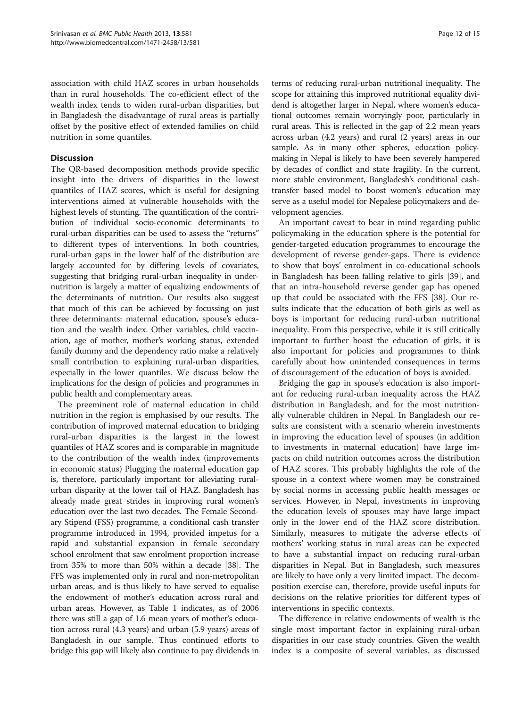association with child HAZ scores in urban households than in rural households. The co-efficient effect of the wealth index tends to widen rural-urban disparities, but in Bangladesh the disadvantage of rural areas is partially offset by the positive effect of extended families on child nutrition in some quantiles.

# **Discussion**

The QR-based decomposition methods provide specific insight into the drivers of disparities in the lowest quantiles of HAZ scores, which is useful for designing interventions aimed at vulnerable households with the highest levels of stunting. The quantification of the contribution of individual socio-economic determinants to rural-urban disparities can be used to assess the "returns" to different types of interventions. In both countries, rural-urban gaps in the lower half of the distribution are largely accounted for by differing levels of covariates, suggesting that bridging rural-urban inequality in undernutrition is largely a matter of equalizing endowments of the determinants of nutrition. Our results also suggest that much of this can be achieved by focussing on just three determinants: maternal education, spouse's education and the wealth index. Other variables, child vaccination, age of mother, mother's working status, extended family dummy and the dependency ratio make a relatively small contribution to explaining rural-urban disparities, especially in the lower quantiles. We discuss below the implications for the design of policies and programmes in public health and complementary areas.

The preeminent role of maternal education in child nutrition in the region is emphasised by our results. The contribution of improved maternal education to bridging rural-urban disparities is the largest in the lowest quantiles of HAZ scores and is comparable in magnitude to the contribution of the wealth index (improvements in economic status) Plugging the maternal education gap is, therefore, particularly important for alleviating ruralurban disparity at the lower tail of HAZ. Bangladesh has already made great strides in improving rural women's education over the last two decades. The Female Secondary Stipend (FSS) programme, a conditional cash transfer programme introduced in 1994, provided impetus for a rapid and substantial expansion in female secondary school enrolment that saw enrolment proportion increase from 35% to more than 50% within a decade [\[38](#page-14-0)]. The FFS was implemented only in rural and non-metropolitan urban areas, and is thus likely to have served to equalise the endowment of mother's education across rural and urban areas. However, as Table [1](#page-3-0) indicates, as of 2006 there was still a gap of 1.6 mean years of mother's education across rural (4.3 years) and urban (5.9 years) areas of Bangladesh in our sample. Thus continued efforts to bridge this gap will likely also continue to pay dividends in

terms of reducing rural-urban nutritional inequality. The scope for attaining this improved nutritional equality dividend is altogether larger in Nepal, where women's educational outcomes remain worryingly poor, particularly in rural areas. This is reflected in the gap of 2.2 mean years across urban (4.2 years) and rural (2 years) areas in our sample. As in many other spheres, education policymaking in Nepal is likely to have been severely hampered by decades of conflict and state fragility. In the current, more stable environment, Bangladesh's conditional cashtransfer based model to boost women's education may serve as a useful model for Nepalese policymakers and development agencies.

An important caveat to bear in mind regarding public policymaking in the education sphere is the potential for gender-targeted education programmes to encourage the development of reverse gender-gaps. There is evidence to show that boys' enrolment in co-educational schools in Bangladesh has been falling relative to girls [[39\]](#page-14-0), and that an intra-household reverse gender gap has opened up that could be associated with the FFS [[38\]](#page-14-0). Our results indicate that the education of both girls as well as boys is important for reducing rural-urban nutritional inequality. From this perspective, while it is still critically important to further boost the education of girls, it is also important for policies and programmes to think carefully about how unintended consequences in terms of discouragement of the education of boys is avoided.

Bridging the gap in spouse's education is also important for reducing rural-urban inequality across the HAZ distribution in Bangladesh, and for the most nutritionally vulnerable children in Nepal. In Bangladesh our results are consistent with a scenario wherein investments in improving the education level of spouses (in addition to investments in maternal education) have large impacts on child nutrition outcomes across the distribution of HAZ scores. This probably highlights the role of the spouse in a context where women may be constrained by social norms in accessing public health messages or services. However, in Nepal, investments in improving the education levels of spouses may have large impact only in the lower end of the HAZ score distribution. Similarly, measures to mitigate the adverse effects of mothers' working status in rural areas can be expected to have a substantial impact on reducing rural-urban disparities in Nepal. But in Bangladesh, such measures are likely to have only a very limited impact. The decomposition exercise can, therefore, provide useful inputs for decisions on the relative priorities for different types of interventions in specific contexts.

The difference in relative endowments of wealth is the single most important factor in explaining rural-urban disparities in our case study countries. Given the wealth index is a composite of several variables, as discussed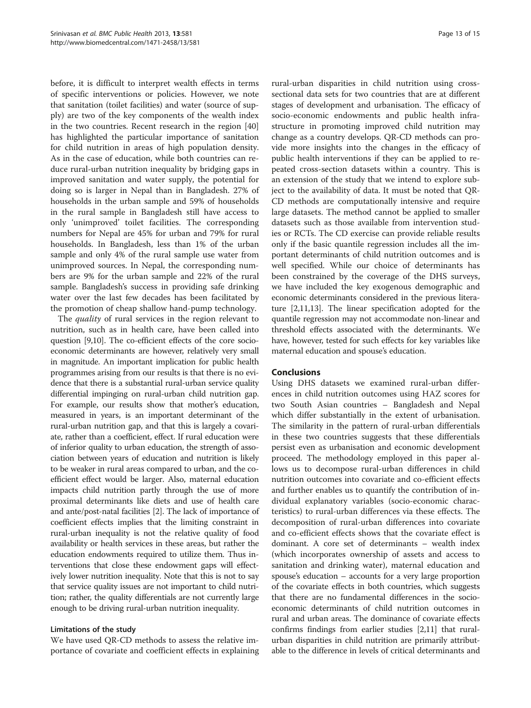before, it is difficult to interpret wealth effects in terms of specific interventions or policies. However, we note that sanitation (toilet facilities) and water (source of supply) are two of the key components of the wealth index in the two countries. Recent research in the region [[40](#page-14-0)] has highlighted the particular importance of sanitation for child nutrition in areas of high population density. As in the case of education, while both countries can reduce rural-urban nutrition inequality by bridging gaps in improved sanitation and water supply, the potential for doing so is larger in Nepal than in Bangladesh. 27% of households in the urban sample and 59% of households in the rural sample in Bangladesh still have access to only 'unimproved' toilet facilities. The corresponding numbers for Nepal are 45% for urban and 79% for rural households. In Bangladesh, less than 1% of the urban sample and only 4% of the rural sample use water from unimproved sources. In Nepal, the corresponding numbers are 9% for the urban sample and 22% of the rural sample. Bangladesh's success in providing safe drinking water over the last few decades has been facilitated by the promotion of cheap shallow hand-pump technology.

The *quality* of rural services in the region relevant to nutrition, such as in health care, have been called into question [\[9,10\]](#page-13-0). The co-efficient effects of the core socioeconomic determinants are however, relatively very small in magnitude. An important implication for public health programmes arising from our results is that there is no evidence that there is a substantial rural-urban service quality differential impinging on rural-urban child nutrition gap. For example, our results show that mother's education, measured in years, is an important determinant of the rural-urban nutrition gap, and that this is largely a covariate, rather than a coefficient, effect. If rural education were of inferior quality to urban education, the strength of association between years of education and nutrition is likely to be weaker in rural areas compared to urban, and the coefficient effect would be larger. Also, maternal education impacts child nutrition partly through the use of more proximal determinants like diets and use of health care and ante/post-natal facilities [\[2](#page-13-0)]. The lack of importance of coefficient effects implies that the limiting constraint in rural-urban inequality is not the relative quality of food availability or health services in these areas, but rather the education endowments required to utilize them. Thus interventions that close these endowment gaps will effectively lower nutrition inequality. Note that this is not to say that service quality issues are not important to child nutrition; rather, the quality differentials are not currently large enough to be driving rural-urban nutrition inequality.

# Limitations of the study

We have used QR-CD methods to assess the relative importance of covariate and coefficient effects in explaining

rural-urban disparities in child nutrition using crosssectional data sets for two countries that are at different stages of development and urbanisation. The efficacy of socio-economic endowments and public health infrastructure in promoting improved child nutrition may change as a country develops. QR-CD methods can provide more insights into the changes in the efficacy of public health interventions if they can be applied to repeated cross-section datasets within a country. This is an extension of the study that we intend to explore subject to the availability of data. It must be noted that QR-CD methods are computationally intensive and require large datasets. The method cannot be applied to smaller datasets such as those available from intervention studies or RCTs. The CD exercise can provide reliable results only if the basic quantile regression includes all the important determinants of child nutrition outcomes and is well specified. While our choice of determinants has been constrained by the coverage of the DHS surveys, we have included the key exogenous demographic and economic determinants considered in the previous literature [\[2,11,13\]](#page-13-0). The linear specification adopted for the quantile regression may not accommodate non-linear and threshold effects associated with the determinants. We have, however, tested for such effects for key variables like maternal education and spouse's education.

# Conclusions

Using DHS datasets we examined rural-urban differences in child nutrition outcomes using HAZ scores for two South Asian countries – Bangladesh and Nepal which differ substantially in the extent of urbanisation. The similarity in the pattern of rural-urban differentials in these two countries suggests that these differentials persist even as urbanisation and economic development proceed. The methodology employed in this paper allows us to decompose rural-urban differences in child nutrition outcomes into covariate and co-efficient effects and further enables us to quantify the contribution of individual explanatory variables (socio-economic characteristics) to rural-urban differences via these effects. The decomposition of rural-urban differences into covariate and co-efficient effects shows that the covariate effect is dominant. A core set of determinants – wealth index (which incorporates ownership of assets and access to sanitation and drinking water), maternal education and spouse's education – accounts for a very large proportion of the covariate effects in both countries, which suggests that there are no fundamental differences in the socioeconomic determinants of child nutrition outcomes in rural and urban areas. The dominance of covariate effects confirms findings from earlier studies [\[2,11](#page-13-0)] that ruralurban disparities in child nutrition are primarily attributable to the difference in levels of critical determinants and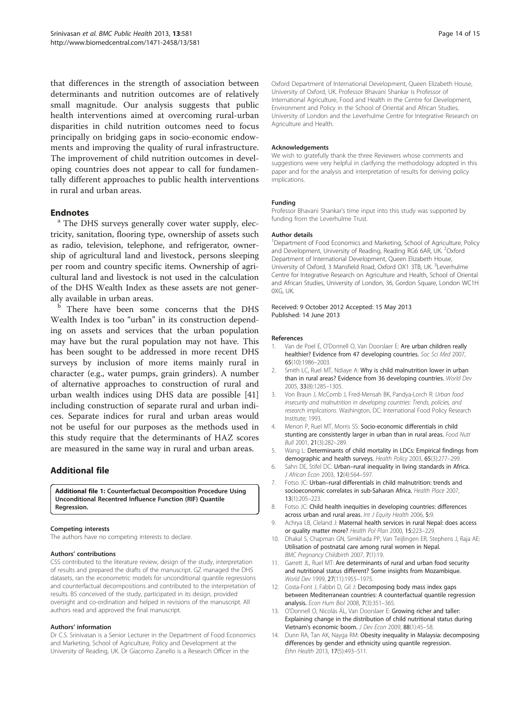<span id="page-13-0"></span>that differences in the strength of association between determinants and nutrition outcomes are of relatively small magnitude. Our analysis suggests that public health interventions aimed at overcoming rural-urban disparities in child nutrition outcomes need to focus principally on bridging gaps in socio-economic endowments and improving the quality of rural infrastructure. The improvement of child nutrition outcomes in developing countries does not appear to call for fundamentally different approaches to public health interventions in rural and urban areas.

**Endnotes**<br><sup>a</sup> The DHS surveys generally cover water supply, electricity, sanitation, flooring type, ownership of assets such as radio, television, telephone, and refrigerator, ownership of agricultural land and livestock, persons sleeping per room and country specific items. Ownership of agricultural land and livestock is not used in the calculation of the DHS Wealth Index as these assets are not generally available in urban areas.

There have been some concerns that the DHS Wealth Index is too "urban" in its construction depending on assets and services that the urban population may have but the rural population may not have. This has been sought to be addressed in more recent DHS surveys by inclusion of more items mainly rural in character (e.g., water pumps, grain grinders). A number of alternative approaches to construction of rural and urban wealth indices using DHS data are possible [[41](#page-14-0)] including construction of separate rural and urban indices. Separate indices for rural and urban areas would not be useful for our purposes as the methods used in this study require that the determinants of HAZ scores are measured in the same way in rural and urban areas.

# Additional file

[Additional file 1:](http://www.biomedcentral.com/content/supplementary/1471-2458-13-581-S1.docx) Counterfactual Decomposition Procedure Using Unconditional Recentred Influence Function (RIF) Quantile Regression.

#### Competing interests

The authors have no competing interests to declare.

#### Authors' contributions

CSS contributed to the literature review, design of the study, interpretation of results and prepared the drafts of the manuscript. GZ managed the DHS datasets, ran the econometric models for unconditional quantile regressions and counterfactual decompositions and contributed to the interpretation of results. BS conceived of the study, participated in its design, provided oversight and co-ordination and helped in revisions of the manuscript. All authors read and approved the final manuscript.

#### Authors' information

Dr C.S. Srinivasan is a Senior Lecturer in the Department of Food Economics and Marketing, School of Agriculture, Policy and Development at the University of Reading, UK. Dr Giacomo Zanello is a Research Officer in the

Oxford Department of International Development, Queen Elizabeth House, University of Oxford, UK. Professor Bhavani Shankar is Professor of International Agriculture, Food and Health in the Centre for Development, Environment and Policy in the School of Oriental and African Studies, University of London and the Leverhulme Centre for Integrative Research on Agriculture and Health.

#### Acknowledgements

We wish to gratefully thank the three Reviewers whose comments and suggestions were very helpful in clarifying the methodology adopted in this paper and for the analysis and interpretation of results for deriving policy implications.

#### Funding

Professor Bhavani Shankar's time input into this study was supported by funding from the Leverhulme Trust.

#### Author details

<sup>1</sup>Department of Food Economics and Marketing, School of Agriculture, Policy and Development, University of Reading, Reading RG6 6AR, UK. <sup>2</sup>Oxford Department of International Development, Queen Elizabeth House, University of Oxford, 3 Mansfield Road, Oxford OX1 3TB, UK. <sup>3</sup>Leverhulme Centre for Integrative Research on Agriculture and Health, School of Oriental and African Studies, University of London, 36, Gordon Square, London WC1H 0XG, UK.

#### Received: 9 October 2012 Accepted: 15 May 2013 Published: 14 June 2013

#### References

- 1. Van de Poel E, O'Donnell O, Van Doorslaer E: Are urban children really healthier? Evidence from 47 developing countries. Soc Sci Med 2007, 65(10):1986–2003.
- 2. Smith LC, Ruel MT, Ndiaye A: Why is child malnutrition lower in urban than in rural areas? Evidence from 36 developing countries. World Dev 2005, 33(8):1285–1305.
- 3. Von Braun J, McComb J, Fred-Mensah BK, Pandya-Lorch R: Urban food insecurity and malnutrition in developing countries: Trends, policies, and research implications. Washington, DC: International Food Policy Research Institute; 1993.
- 4. Menon P, Ruel MT, Morris SS: Socio-economic differentials in child stunting are consistently larger in urban than in rural areas. Food Nutr Bull 2001, 21(3):282–289.
- 5. Wang L: Determinants of child mortality in LDCs: Empirical findings from demographic and health surveys. Health Policy 2003, 65(3):277–299.
- 6. Sahn DE, Stifel DC: Urban–rural inequality in living standards in Africa. J African Econ 2003, 12(4):564–597.
- 7. Fotso JC: Urban–rural differentials in child malnutrition: trends and socioeconomic correlates in sub-Saharan Africa. Health Place 2007, 13(1):205–223.
- 8. Fotso JC: Child health inequities in developing countries: differences across urban and rural areas. Int J Equity Health 2006, 5:9.
- 9. Achrya LB, Cleland J: Maternal health services in rural Nepal: does access or quality matter more? Health Pol Plan 2000, 15:223–229.
- 10. Dhakal S, Chapman GN, Simkhada PP, Van Teijlingen ER, Stephens J, Raja AE: Utilisation of postnatal care among rural women in Nepal. BMC Pregnancy Childbirth 2007, 7(1):19.
- 11. Garrett JL, Ruel MT: Are determinants of rural and urban food security and nutritional status different? Some insights from Mozambique. World Dev 1999, 27(11):1955–1975.
- 12. Costa-Font J, Fabbri D, Gil J: Decomposing body mass index gaps between Mediterranean countries: A counterfactual quantile regression analysis. Econ Hum Biol 2008, 7(3):351-365.
- 13. O'Donnell O, Nicolás ÁL, Van Doorslaer E: Growing richer and taller: Explaining change in the distribution of child nutritional status during Vietnam's economic boom. J Dev Econ 2009, 88(1):45–58.
- 14. Dunn RA, Tan AK, Nayga RM: Obesity inequality in Malaysia: decomposing differences by gender and ethnicity using quantile regression. Ethn Health 2013, 17(5):493–511.